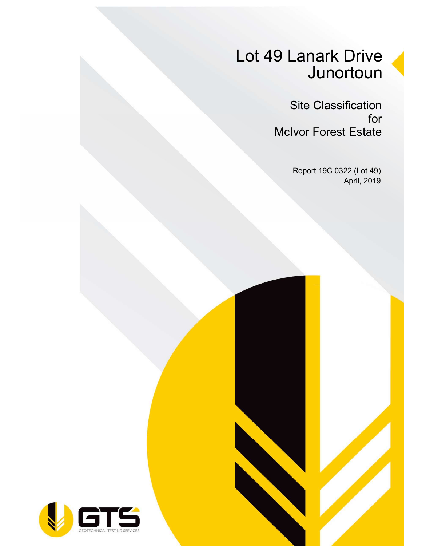# Lot 49 Lanark Drive **Junortoun**

Site Classification for McIvor Forest Estate

> Report 19C 0322 (Lot 49) April, 2019

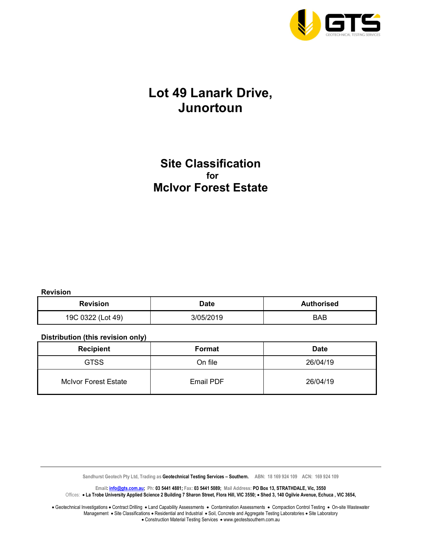

### Lot 49 Lanark Drive, Junortoun

### Site Classification for McIvor Forest Estate

Revision

| <b>Revision</b><br>Date |           | <b>Authorised</b> |  |  |
|-------------------------|-----------|-------------------|--|--|
| 19C 0322 (Lot 49)       | 3/05/2019 | BAB               |  |  |

#### Distribution (this revision only)

| <b>Recipient</b>            | Format    | <b>Date</b> |
|-----------------------------|-----------|-------------|
| <b>GTSS</b>                 | On file   | 26/04/19    |
| <b>McIvor Forest Estate</b> | Email PDF | 26/04/19    |

Sandhurst Geotech Pty Ltd, Trading as Geotechnical Testing Services - Southern. ABN: 18 169 924 109 ACN: 169 924 109

Email: *info@gts.com.au;* Ph: 03 5441 4881; Fax: 03 5441 5089; Mail Address: PO Box 13, STRATHDALE, Vic, 3550 Offices: . La Trobe University Applied Science 2 Building 7 Sharon Street, Flora Hill, VIC 3550; . Shed 3, 140 Ogilvie Avenue, Echuca, VIC 3654,

Geotechnical Investigations . Contract Drilling . Land Capability Assessments . Contamination Assessments . Compaction Control Testing . On-site Wastewater Management • Site Classifications • Residential and Industrial • Soil, Concrete and Aggregate Testing Laboratories • Site Laboratory • Construction Material Testing Services • www.geotestsouthern.com.au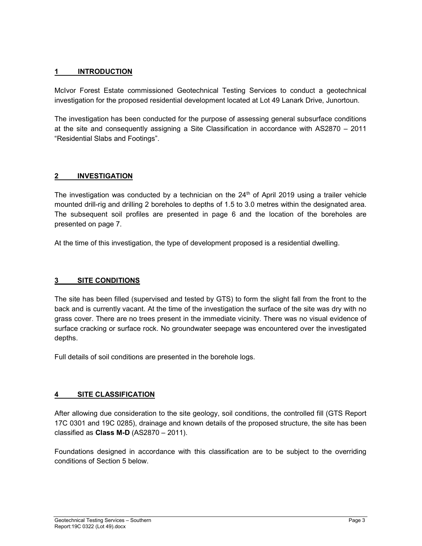#### 1 INTRODUCTION

McIvor Forest Estate commissioned Geotechnical Testing Services to conduct a geotechnical investigation for the proposed residential development located at Lot 49 Lanark Drive, Junortoun.

The investigation has been conducted for the purpose of assessing general subsurface conditions at the site and consequently assigning a Site Classification in accordance with AS2870 – 2011 "Residential Slabs and Footings".

#### 2 INVESTIGATION

The investigation was conducted by a technician on the  $24<sup>th</sup>$  of April 2019 using a trailer vehicle mounted drill-rig and drilling 2 boreholes to depths of 1.5 to 3.0 metres within the designated area. The subsequent soil profiles are presented in page 6 and the location of the boreholes are presented on page 7.

At the time of this investigation, the type of development proposed is a residential dwelling.

#### 3 SITE CONDITIONS

The site has been filled (supervised and tested by GTS) to form the slight fall from the front to the back and is currently vacant. At the time of the investigation the surface of the site was dry with no grass cover. There are no trees present in the immediate vicinity. There was no visual evidence of surface cracking or surface rock. No groundwater seepage was encountered over the investigated depths.

Full details of soil conditions are presented in the borehole logs.

#### 4 SITE CLASSIFICATION

After allowing due consideration to the site geology, soil conditions, the controlled fill (GTS Report 17C 0301 and 19C 0285), drainage and known details of the proposed structure, the site has been classified as Class M-D (AS2870 – 2011).

Foundations designed in accordance with this classification are to be subject to the overriding conditions of Section 5 below.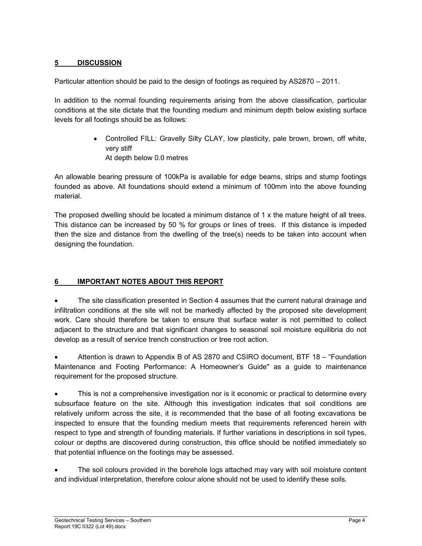#### 5 DISCUSSION

Particular attention should be paid to the design of footings as required by AS2870 – 2011.

In addition to the normal founding requirements arising from the above classification, particular conditions at the site dictate that the founding medium and minimum depth below existing surface levels for all footings should be as follows:

> Controlled FILL: Gravelly Silty CLAY, low plasticity, pale brown, brown, off white, very stiff At depth below 0.0 metres

An allowable bearing pressure of 100kPa is available for edge beams, strips and stump footings founded as above. All foundations should extend a minimum of 100mm into the above founding material.

The proposed dwelling should be located a minimum distance of 1 x the mature height of all trees. This distance can be increased by 50 % for groups or lines of trees. If this distance is impeded then the size and distance from the dwelling of the tree(s) needs to be taken into account when designing the foundation.

#### 6 IMPORTANT NOTES ABOUT THIS REPORT

 The site classification presented in Section 4 assumes that the current natural drainage and infiltration conditions at the site will not be markedly affected by the proposed site development work. Care should therefore be taken to ensure that surface water is not permitted to collect adjacent to the structure and that significant changes to seasonal soil moisture equilibria do not develop as a result of service trench construction or tree root action.

 Attention is drawn to Appendix B of AS 2870 and CSIRO document, BTF 18 – "Foundation Maintenance and Footing Performance: A Homeowner's Guide" as a guide to maintenance requirement for the proposed structure.

 This is not a comprehensive investigation nor is it economic or practical to determine every subsurface feature on the site. Although this investigation indicates that soil conditions are relatively uniform across the site, it is recommended that the base of all footing excavations be inspected to ensure that the founding medium meets that requirements referenced herein with respect to type and strength of founding materials. If further variations in descriptions in soil types, colour or depths are discovered during construction, this office should be notified immediately so that potential influence on the footings may be assessed.

 The soil colours provided in the borehole logs attached may vary with soil moisture content and individual interpretation, therefore colour alone should not be used to identify these soils.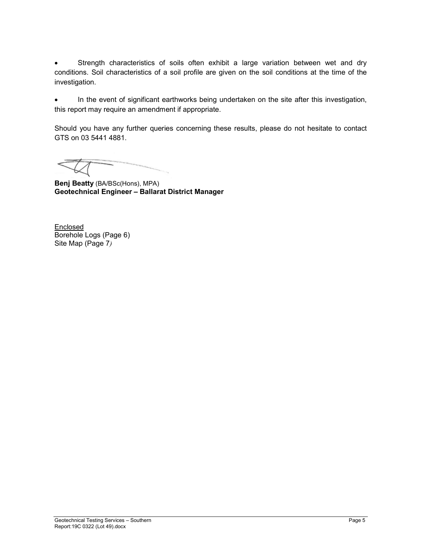Strength characteristics of soils often exhibit a large variation between wet and dry conditions. Soil characteristics of a soil profile are given on the soil conditions at the time of the investigation.

 In the event of significant earthworks being undertaken on the site after this investigation, this report may require an amendment if appropriate.

Should you have any further queries concerning these results, please do not hesitate to contact GTS on 03 5441 4881.

Benj Beatty (BA/BSc(Hons), MPA) Geotechnical Engineer – Ballarat District Manager

**Enclosed** Borehole Logs (Page 6) Site Map (Page 7)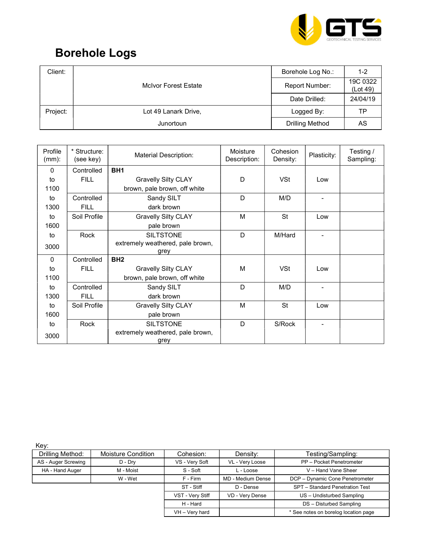

## Borehole Logs

| Client:  |                             | Borehole Log No.: | $1 - 2$              |
|----------|-----------------------------|-------------------|----------------------|
|          | <b>McIvor Forest Estate</b> | Report Number:    | 19C 0322<br>(Lot 49) |
|          |                             | Date Drilled:     | 24/04/19             |
| Project: | Lot 49 Lanark Drive,        | Logged By:        | TP                   |
|          | Junortoun                   | Drilling Method   | AS                   |

| Profile<br>$(mm)$ : | * Structure:<br>(see key) | <b>Material Description:</b>     | Moisture<br>Description: | Cohesion<br>Density: | Plasticity: | Testing /<br>Sampling: |
|---------------------|---------------------------|----------------------------------|--------------------------|----------------------|-------------|------------------------|
| $\mathbf{0}$        | Controlled                | BH <sub>1</sub>                  |                          |                      |             |                        |
| to                  | <b>FILL</b>               | <b>Gravelly Silty CLAY</b>       | D                        | <b>VSt</b>           | Low         |                        |
| 1100                |                           | brown, pale brown, off white     |                          |                      |             |                        |
| to                  | Controlled                | Sandy SILT                       | D                        | M/D                  |             |                        |
| 1300                | <b>FILL</b>               | dark brown                       |                          |                      |             |                        |
| to                  | Soil Profile              | <b>Gravelly Silty CLAY</b>       | M                        | <b>St</b>            | Low         |                        |
| 1600                |                           | pale brown                       |                          |                      |             |                        |
| to                  | Rock                      | <b>SILTSTONE</b>                 | D                        | M/Hard               |             |                        |
| 3000                |                           | extremely weathered, pale brown, |                          |                      |             |                        |
| $\mathbf{0}$        | Controlled                | grey<br>BH <sub>2</sub>          |                          |                      |             |                        |
| to                  | <b>FILL</b>               | <b>Gravelly Silty CLAY</b>       | M                        | <b>VSt</b>           | Low         |                        |
| 1100                |                           | brown, pale brown, off white     |                          |                      |             |                        |
| to                  | Controlled                | Sandy SILT                       | D                        | M/D                  |             |                        |
| 1300                | <b>FILL</b>               | dark brown                       |                          |                      |             |                        |
| to                  | Soil Profile              | <b>Gravelly Silty CLAY</b>       | M                        | <b>St</b>            | Low         |                        |
| 1600                |                           | pale brown                       |                          |                      |             |                        |
| to                  | Rock                      | <b>SILTSTONE</b>                 | D                        | S/Rock               |             |                        |
| 3000                |                           | extremely weathered, pale brown, |                          |                      |             |                        |
|                     |                           | grey                             |                          |                      |             |                        |

Key:

| Drilling Method:    | <b>Moisture Condition</b> | Cohesion:        | Density:          | Testing/Sampling:                    |
|---------------------|---------------------------|------------------|-------------------|--------------------------------------|
|                     |                           |                  |                   |                                      |
| AS - Auger Screwing | D - Dry                   | VS - Very Soft   | VL - Very Loose   | PP - Pocket Penetrometer             |
| HA - Hand Auger     | M - Moist                 | S - Soft         | L - Loose         | V - Hand Vane Sheer                  |
|                     | W - Wet                   | F - Firm         | MD - Medium Dense | DCP - Dynamic Cone Penetrometer      |
|                     |                           | ST - Stiff       | D - Dense         | SPT - Standard Penetration Test      |
|                     |                           | VST - Very Stiff | VD - Very Dense   | US - Undisturbed Sampling            |
|                     |                           | H - Hard         |                   | DS - Disturbed Sampling              |
|                     |                           | VH - Very hard   |                   | * See notes on borelog location page |